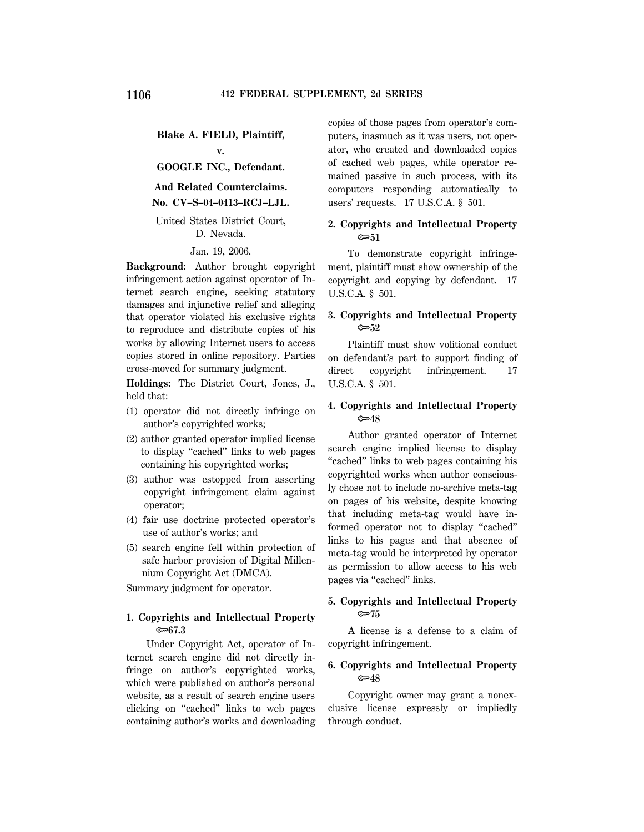**Blake A. FIELD, Plaintiff,**

**v.**

# **GOOGLE INC., Defendant.**

# **And Related Counterclaims. No. CV–S–04–0413–RCJ–LJL.**

### United States District Court, D. Nevada.

#### Jan. 19, 2006.

**Background:** Author brought copyright infringement action against operator of Internet search engine, seeking statutory damages and injunctive relief and alleging that operator violated his exclusive rights to reproduce and distribute copies of his works by allowing Internet users to access copies stored in online repository. Parties cross-moved for summary judgment.

**Holdings:** The District Court, Jones, J., held that:

- (1) operator did not directly infringe on author's copyrighted works;
- (2) author granted operator implied license to display ''cached'' links to web pages containing his copyrighted works;
- (3) author was estopped from asserting copyright infringement claim against operator;
- (4) fair use doctrine protected operator's use of author's works; and
- (5) search engine fell within protection of safe harbor provision of Digital Millennium Copyright Act (DMCA).

Summary judgment for operator.

### **1. Copyrights and Intellectual Property** O**67.3**

Under Copyright Act, operator of Internet search engine did not directly infringe on author's copyrighted works, which were published on author's personal website, as a result of search engine users clicking on ''cached'' links to web pages containing author's works and downloading copies of those pages from operator's computers, inasmuch as it was users, not operator, who created and downloaded copies of cached web pages, while operator remained passive in such process, with its computers responding automatically to users' requests. 17 U.S.C.A. § 501.

### **2. Copyrights and Intellectual Property** O**51**

To demonstrate copyright infringement, plaintiff must show ownership of the copyright and copying by defendant. 17 U.S.C.A. § 501.

### **3. Copyrights and Intellectual Property** O**52**

Plaintiff must show volitional conduct on defendant's part to support finding of direct copyright infringement. 17 U.S.C.A. § 501.

### **4. Copyrights and Intellectual Property** O**48**

Author granted operator of Internet search engine implied license to display "cached" links to web pages containing his copyrighted works when author consciously chose not to include no-archive meta-tag on pages of his website, despite knowing that including meta-tag would have informed operator not to display ''cached'' links to his pages and that absence of meta-tag would be interpreted by operator as permission to allow access to his web pages via "cached" links.

### **5. Copyrights and Intellectual Property** O**75**

A license is a defense to a claim of copyright infringement.

### **6. Copyrights and Intellectual Property** O**48**

Copyright owner may grant a nonexclusive license expressly or impliedly through conduct.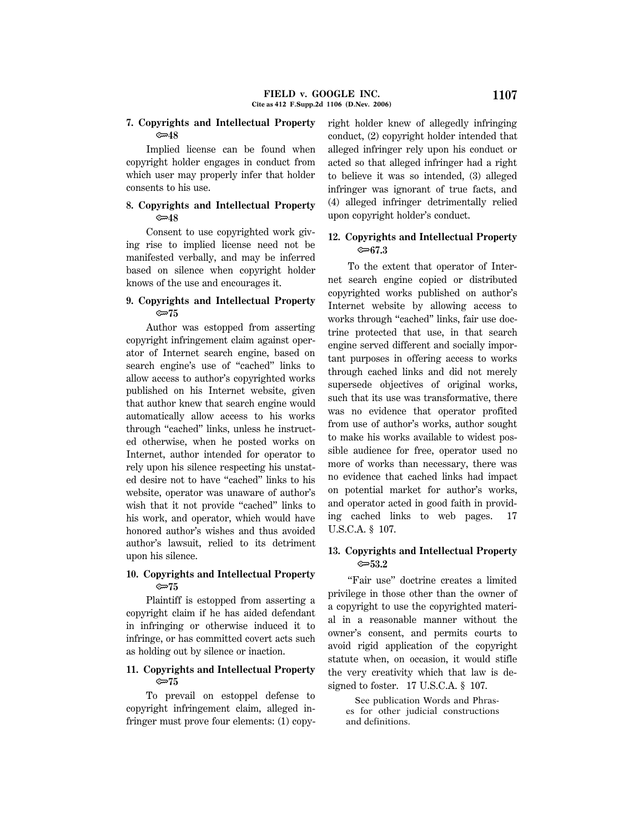### **7. Copyrights and Intellectual Property** O**48**

Implied license can be found when copyright holder engages in conduct from which user may properly infer that holder consents to his use.

### **8. Copyrights and Intellectual Property** O**48**

Consent to use copyrighted work giving rise to implied license need not be manifested verbally, and may be inferred based on silence when copyright holder knows of the use and encourages it.

### **9. Copyrights and Intellectual Property** O**75**

Author was estopped from asserting copyright infringement claim against operator of Internet search engine, based on search engine's use of ''cached'' links to allow access to author's copyrighted works published on his Internet website, given that author knew that search engine would automatically allow access to his works through "cached" links, unless he instructed otherwise, when he posted works on Internet, author intended for operator to rely upon his silence respecting his unstated desire not to have ''cached'' links to his website, operator was unaware of author's wish that it not provide "cached" links to his work, and operator, which would have honored author's wishes and thus avoided author's lawsuit, relied to its detriment upon his silence.

### **10. Copyrights and Intellectual Property** O**75**

Plaintiff is estopped from asserting a copyright claim if he has aided defendant in infringing or otherwise induced it to infringe, or has committed covert acts such as holding out by silence or inaction.

# **11. Copyrights and Intellectual Property** O**75**

To prevail on estoppel defense to copyright infringement claim, alleged infringer must prove four elements: (1) copyright holder knew of allegedly infringing conduct, (2) copyright holder intended that alleged infringer rely upon his conduct or acted so that alleged infringer had a right to believe it was so intended, (3) alleged infringer was ignorant of true facts, and (4) alleged infringer detrimentally relied upon copyright holder's conduct.

### **12. Copyrights and Intellectual Property** O**67.3**

To the extent that operator of Internet search engine copied or distributed copyrighted works published on author's Internet website by allowing access to works through "cached" links, fair use doctrine protected that use, in that search engine served different and socially important purposes in offering access to works through cached links and did not merely supersede objectives of original works, such that its use was transformative, there was no evidence that operator profited from use of author's works, author sought to make his works available to widest possible audience for free, operator used no more of works than necessary, there was no evidence that cached links had impact on potential market for author's works, and operator acted in good faith in providing cached links to web pages. 17 U.S.C.A. § 107.

### **13. Copyrights and Intellectual Property** O**53.2**

''Fair use'' doctrine creates a limited privilege in those other than the owner of a copyright to use the copyrighted material in a reasonable manner without the owner's consent, and permits courts to avoid rigid application of the copyright statute when, on occasion, it would stifle the very creativity which that law is designed to foster. 17 U.S.C.A. § 107.

 See publication Words and Phrases for other judicial constructions and definitions.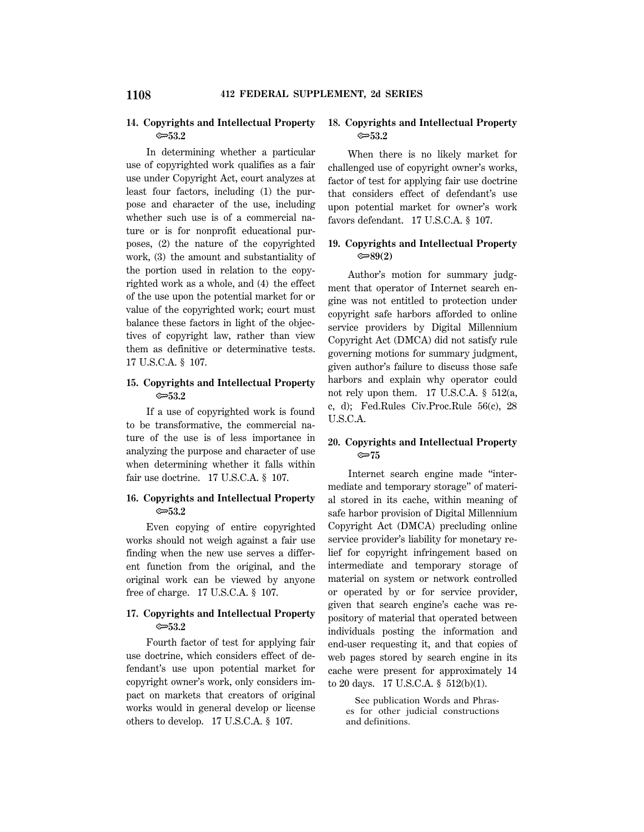### **14. Copyrights and Intellectual Property** O**53.2**

In determining whether a particular use of copyrighted work qualifies as a fair use under Copyright Act, court analyzes at least four factors, including (1) the purpose and character of the use, including whether such use is of a commercial nature or is for nonprofit educational purposes, (2) the nature of the copyrighted work, (3) the amount and substantiality of the portion used in relation to the copyrighted work as a whole, and (4) the effect of the use upon the potential market for or value of the copyrighted work; court must balance these factors in light of the objectives of copyright law, rather than view them as definitive or determinative tests. 17 U.S.C.A. § 107.

### **15. Copyrights and Intellectual Property** O**53.2**

If a use of copyrighted work is found to be transformative, the commercial nature of the use is of less importance in analyzing the purpose and character of use when determining whether it falls within fair use doctrine. 17 U.S.C.A. § 107.

### **16. Copyrights and Intellectual Property** O**53.2**

Even copying of entire copyrighted works should not weigh against a fair use finding when the new use serves a different function from the original, and the original work can be viewed by anyone free of charge. 17 U.S.C.A. § 107.

## **17. Copyrights and Intellectual Property** O**53.2**

Fourth factor of test for applying fair use doctrine, which considers effect of defendant's use upon potential market for copyright owner's work, only considers impact on markets that creators of original works would in general develop or license others to develop. 17 U.S.C.A. § 107.

### **18. Copyrights and Intellectual Property** O**53.2**

When there is no likely market for challenged use of copyright owner's works, factor of test for applying fair use doctrine that considers effect of defendant's use upon potential market for owner's work favors defendant. 17 U.S.C.A. § 107.

### **19. Copyrights and Intellectual Property** O**89(2)**

Author's motion for summary judgment that operator of Internet search engine was not entitled to protection under copyright safe harbors afforded to online service providers by Digital Millennium Copyright Act (DMCA) did not satisfy rule governing motions for summary judgment, given author's failure to discuss those safe harbors and explain why operator could not rely upon them. 17 U.S.C.A. § 512(a, c, d); Fed.Rules Civ.Proc.Rule 56(c), 28 U.S.C.A.

### **20. Copyrights and Intellectual Property** O**75**

Internet search engine made ''intermediate and temporary storage'' of material stored in its cache, within meaning of safe harbor provision of Digital Millennium Copyright Act (DMCA) precluding online service provider's liability for monetary relief for copyright infringement based on intermediate and temporary storage of material on system or network controlled or operated by or for service provider, given that search engine's cache was repository of material that operated between individuals posting the information and end-user requesting it, and that copies of web pages stored by search engine in its cache were present for approximately 14 to 20 days. 17 U.S.C.A. § 512(b)(1).

 See publication Words and Phrases for other judicial constructions and definitions.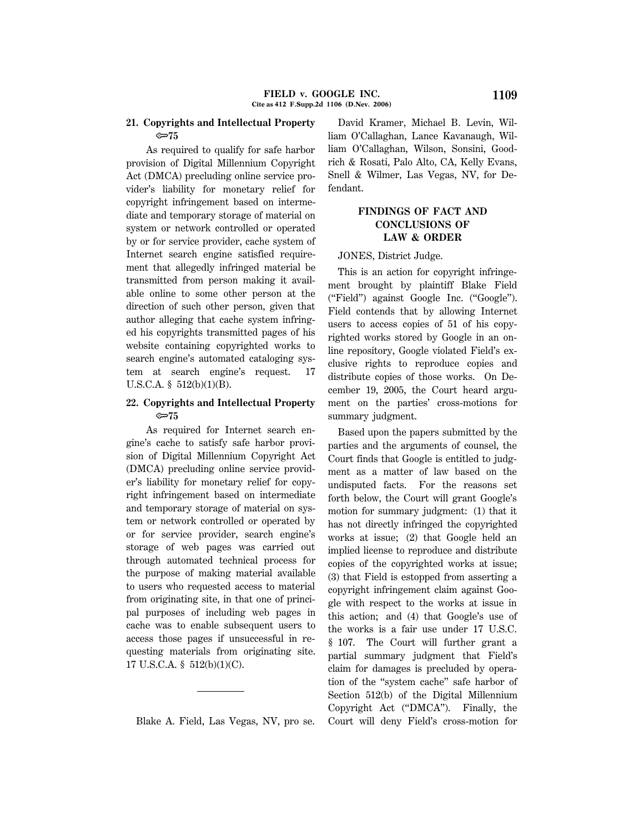### **21. Copyrights and Intellectual Property** O**75**

As required to qualify for safe harbor provision of Digital Millennium Copyright Act (DMCA) precluding online service provider's liability for monetary relief for copyright infringement based on intermediate and temporary storage of material on system or network controlled or operated by or for service provider, cache system of Internet search engine satisfied requirement that allegedly infringed material be transmitted from person making it available online to some other person at the direction of such other person, given that author alleging that cache system infringed his copyrights transmitted pages of his website containing copyrighted works to search engine's automated cataloging system at search engine's request. 17 U.S.C.A. § 512(b)(1)(B).

### **22. Copyrights and Intellectual Property** O**75**

As required for Internet search engine's cache to satisfy safe harbor provision of Digital Millennium Copyright Act (DMCA) precluding online service provider's liability for monetary relief for copyright infringement based on intermediate and temporary storage of material on system or network controlled or operated by or for service provider, search engine's storage of web pages was carried out through automated technical process for the purpose of making material available to users who requested access to material from originating site, in that one of principal purposes of including web pages in cache was to enable subsequent users to access those pages if unsuccessful in requesting materials from originating site. 17 U.S.C.A. § 512(b)(1)(C).

Blake A. Field, Las Vegas, NV, pro se.

David Kramer, Michael B. Levin, William O'Callaghan, Lance Kavanaugh, William O'Callaghan, Wilson, Sonsini, Goodrich & Rosati, Palo Alto, CA, Kelly Evans, Snell & Wilmer, Las Vegas, NV, for Defendant.

# **FINDINGS OF FACT AND CONCLUSIONS OF LAW & ORDER**

#### JONES, District Judge.

This is an action for copyright infringement brought by plaintiff Blake Field (''Field'') against Google Inc. (''Google''). Field contends that by allowing Internet users to access copies of 51 of his copyrighted works stored by Google in an online repository, Google violated Field's exclusive rights to reproduce copies and distribute copies of those works. On December 19, 2005, the Court heard argument on the parties' cross-motions for summary judgment.

Based upon the papers submitted by the parties and the arguments of counsel, the Court finds that Google is entitled to judgment as a matter of law based on the undisputed facts. For the reasons set forth below, the Court will grant Google's motion for summary judgment: (1) that it has not directly infringed the copyrighted works at issue; (2) that Google held an implied license to reproduce and distribute copies of the copyrighted works at issue; (3) that Field is estopped from asserting a copyright infringement claim against Google with respect to the works at issue in this action; and (4) that Google's use of the works is a fair use under 17 U.S.C. § 107. The Court will further grant a partial summary judgment that Field's claim for damages is precluded by operation of the ''system cache'' safe harbor of Section 512(b) of the Digital Millennium Copyright Act (''DMCA''). Finally, the Court will deny Field's cross-motion for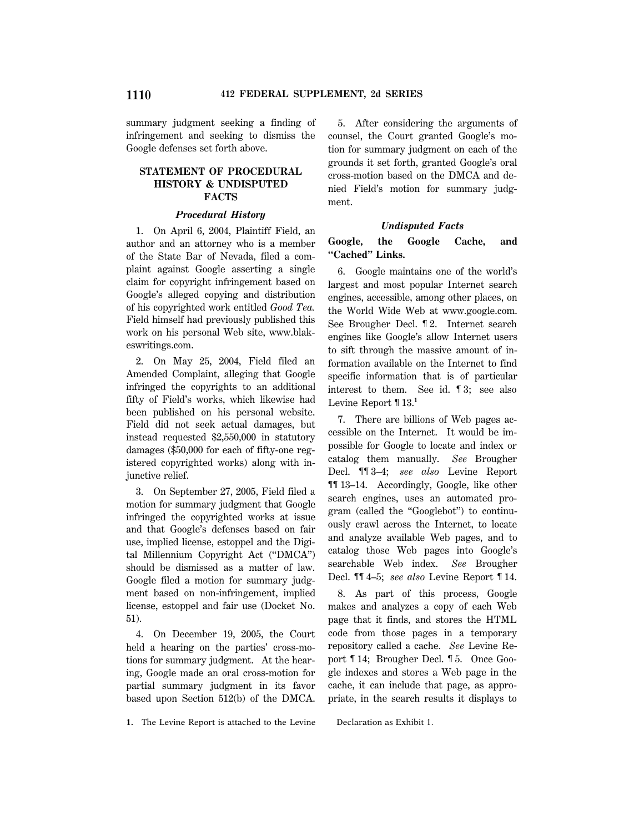summary judgment seeking a finding of infringement and seeking to dismiss the Google defenses set forth above.

# **STATEMENT OF PROCEDURAL HISTORY & UNDISPUTED FACTS**

### *Procedural History*

1. On April 6, 2004, Plaintiff Field, an author and an attorney who is a member of the State Bar of Nevada, filed a complaint against Google asserting a single claim for copyright infringement based on Google's alleged copying and distribution of his copyrighted work entitled *Good Tea.* Field himself had previously published this work on his personal Web site, www.blakeswritings.com.

2. On May 25, 2004, Field filed an Amended Complaint, alleging that Google infringed the copyrights to an additional fifty of Field's works, which likewise had been published on his personal website. Field did not seek actual damages, but instead requested \$2,550,000 in statutory damages (\$50,000 for each of fifty-one registered copyrighted works) along with injunctive relief.

3. On September 27, 2005, Field filed a motion for summary judgment that Google infringed the copyrighted works at issue and that Google's defenses based on fair use, implied license, estoppel and the Digital Millennium Copyright Act (''DMCA'') should be dismissed as a matter of law. Google filed a motion for summary judgment based on non-infringement, implied license, estoppel and fair use (Docket No. 51).

4. On December 19, 2005, the Court held a hearing on the parties' cross-motions for summary judgment. At the hearing, Google made an oral cross-motion for partial summary judgment in its favor based upon Section 512(b) of the DMCA.

5. After considering the arguments of counsel, the Court granted Google's motion for summary judgment on each of the grounds it set forth, granted Google's oral cross-motion based on the DMCA and denied Field's motion for summary judgment.

### *Undisputed Facts*

## **Google, the Google Cache, and ''Cached'' Links.**

6. Google maintains one of the world's largest and most popular Internet search engines, accessible, among other places, on the World Wide Web at www.google.com. See Brougher Decl. ¶ 2. Internet search engines like Google's allow Internet users to sift through the massive amount of information available on the Internet to find specific information that is of particular interest to them. See id. ¶ 3; see also Levine Report ¶ 13.**<sup>1</sup>**

7. There are billions of Web pages accessible on the Internet. It would be impossible for Google to locate and index or catalog them manually. *See* Brougher Decl. ¶¶ 3–4; *see also* Levine Report ¶¶ 13–14. Accordingly, Google, like other search engines, uses an automated program (called the ''Googlebot'') to continuously crawl across the Internet, to locate and analyze available Web pages, and to catalog those Web pages into Google's searchable Web index. *See* Brougher Decl. ¶¶ 4–5; *see also* Levine Report ¶ 14.

8. As part of this process, Google makes and analyzes a copy of each Web page that it finds, and stores the HTML code from those pages in a temporary repository called a cache. *See* Levine Report ¶ 14; Brougher Decl. ¶ 5. Once Google indexes and stores a Web page in the cache, it can include that page, as appropriate, in the search results it displays to

**1.** The Levine Report is attached to the Levine Declaration as Exhibit 1.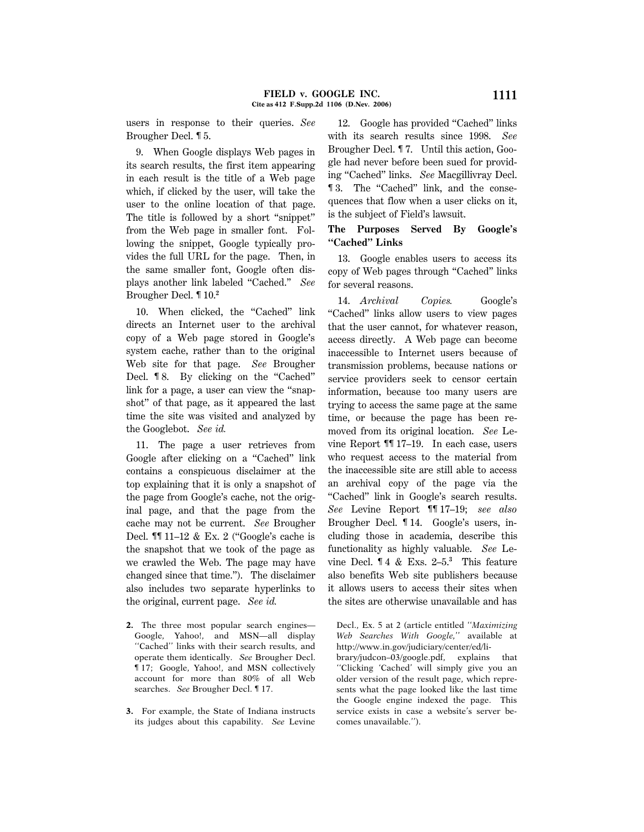users in response to their queries. *See* Brougher Decl. ¶ 5.

9. When Google displays Web pages in its search results, the first item appearing in each result is the title of a Web page which, if clicked by the user, will take the user to the online location of that page. The title is followed by a short ''snippet'' from the Web page in smaller font. Following the snippet, Google typically provides the full URL for the page. Then, in the same smaller font, Google often displays another link labeled ''Cached.'' *See* Brougher Decl. ¶ 10.**<sup>2</sup>**

10. When clicked, the "Cached" link directs an Internet user to the archival copy of a Web page stored in Google's system cache, rather than to the original Web site for that page. *See* Brougher Decl. **18.** By clicking on the "Cached" link for a page, a user can view the ''snapshot'' of that page, as it appeared the last time the site was visited and analyzed by the Googlebot. *See id.*

11. The page a user retrieves from Google after clicking on a ''Cached'' link contains a conspicuous disclaimer at the top explaining that it is only a snapshot of the page from Google's cache, not the original page, and that the page from the cache may not be current. *See* Brougher Decl. ¶¶ 11-12 & Ex. 2 ("Google's cache is the snapshot that we took of the page as we crawled the Web. The page may have changed since that time.''). The disclaimer also includes two separate hyperlinks to the original, current page. *See id.*

- **2.** The three most popular search engines— Google, Yahoo!, and MSN—all display ''Cached'' links with their search results, and operate them identically. *See* Brougher Decl. ¶ 17; Google, Yahoo!, and MSN collectively account for more than 80% of all Web searches. *See* Brougher Decl. ¶ 17.
- **3.** For example, the State of Indiana instructs its judges about this capability. *See* Levine

12. Google has provided "Cached" links with its search results since 1998. *See* Brougher Decl. ¶ 7. Until this action, Google had never before been sued for providing ''Cached'' links. *See* Macgillivray Decl. ¶ 3. The ''Cached'' link, and the consequences that flow when a user clicks on it, is the subject of Field's lawsuit.

### **The Purposes Served By Google's ''Cached'' Links**

13. Google enables users to access its copy of Web pages through ''Cached'' links for several reasons.

14. *Archival Copies.* Google's ''Cached'' links allow users to view pages that the user cannot, for whatever reason, access directly. A Web page can become inaccessible to Internet users because of transmission problems, because nations or service providers seek to censor certain information, because too many users are trying to access the same page at the same time, or because the page has been removed from its original location. *See* Levine Report ¶¶ 17–19. In each case, users who request access to the material from the inaccessible site are still able to access an archival copy of the page via the "Cached" link in Google's search results. *See* Levine Report ¶¶ 17–19; *see also* Brougher Decl. ¶ 14. Google's users, including those in academia, describe this functionality as highly valuable. *See* Levine Decl. ¶ 4 & Exs. 2–5.**<sup>3</sup>** This feature also benefits Web site publishers because it allows users to access their sites when the sites are otherwise unavailable and has

Decl., Ex. 5 at 2 (article entitled ''*Maximizing Web Searches With Google,*'' available at http://www.in.gov/judiciary/center/ed/li-

brary/judcon–03/google.pdf, explains that ''Clicking 'Cached' will simply give you an older version of the result page, which represents what the page looked like the last time the Google engine indexed the page. This service exists in case a website's server becomes unavailable.'').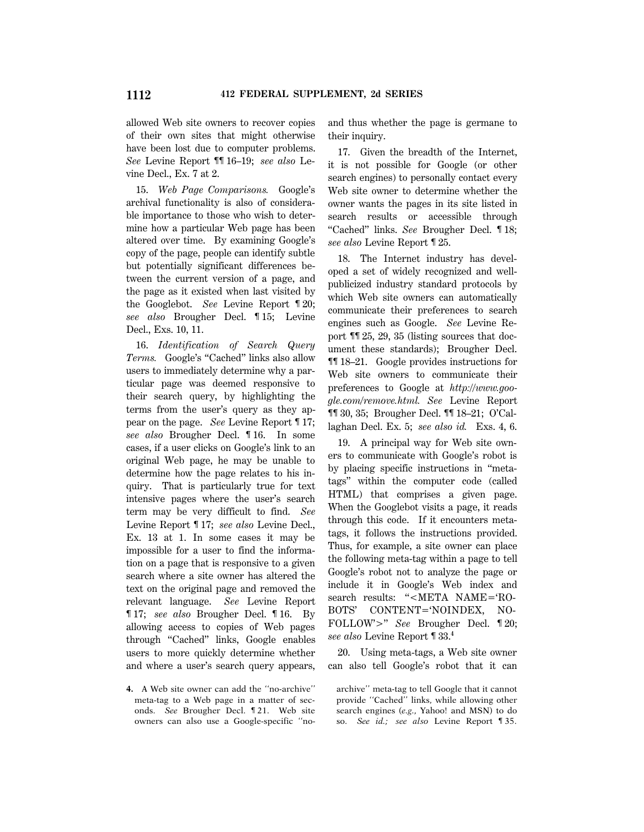allowed Web site owners to recover copies of their own sites that might otherwise have been lost due to computer problems. *See* Levine Report ¶¶ 16–19; *see also* Levine Decl., Ex. 7 at 2.

15. *Web Page Comparisons.* Google's archival functionality is also of considerable importance to those who wish to determine how a particular Web page has been altered over time. By examining Google's copy of the page, people can identify subtle but potentially significant differences between the current version of a page, and the page as it existed when last visited by the Googlebot. *See* Levine Report ¶ 20; *see also* Brougher Decl. ¶ 15; Levine Decl., Exs. 10, 11.

16. *Identification of Search Query* Terms. Google's "Cached" links also allow users to immediately determine why a particular page was deemed responsive to their search query, by highlighting the terms from the user's query as they appear on the page. *See* Levine Report ¶ 17; *see also* Brougher Decl. ¶ 16. In some cases, if a user clicks on Google's link to an original Web page, he may be unable to determine how the page relates to his inquiry. That is particularly true for text intensive pages where the user's search term may be very difficult to find. *See* Levine Report ¶ 17; *see also* Levine Decl., Ex. 13 at 1. In some cases it may be impossible for a user to find the information on a page that is responsive to a given search where a site owner has altered the text on the original page and removed the relevant language. *See* Levine Report ¶ 17; *see also* Brougher Decl. ¶ 16. By allowing access to copies of Web pages through ''Cached'' links, Google enables users to more quickly determine whether and where a user's search query appears,

**4.** A Web site owner can add the ''no-archive'' meta-tag to a Web page in a matter of seconds. *See* Brougher Decl. ¶ 21. Web site owners can also use a Google-specific ''noand thus whether the page is germane to their inquiry.

17. Given the breadth of the Internet, it is not possible for Google (or other search engines) to personally contact every Web site owner to determine whether the owner wants the pages in its site listed in search results or accessible through ''Cached'' links. *See* Brougher Decl. ¶ 18; *see also* Levine Report ¶ 25.

18. The Internet industry has developed a set of widely recognized and wellpublicized industry standard protocols by which Web site owners can automatically communicate their preferences to search engines such as Google. *See* Levine Report ¶¶ 25, 29, 35 (listing sources that document these standards); Brougher Decl. ¶¶ 18–21. Google provides instructions for Web site owners to communicate their preferences to Google at *http://www.google.com/remove.html. See* Levine Report ¶¶ 30, 35; Brougher Decl. ¶¶ 18–21; O'Callaghan Decl. Ex. 5; *see also id.* Exs. 4, 6.

19. A principal way for Web site owners to communicate with Google's robot is by placing specific instructions in ''metatags'' within the computer code (called HTML) that comprises a given page. When the Googlebot visits a page, it reads through this code. If it encounters metatags, it follows the instructions provided. Thus, for example, a site owner can place the following meta-tag within a page to tell Google's robot not to analyze the page or include it in Google's Web index and search results: "<META NAME='RO-BOTS' CONTENT='NOINDEX, NO-FOLLOW'>" *See* Brougher Decl. 120; *see also* Levine Report ¶ 33.**<sup>4</sup>**

20. Using meta-tags, a Web site owner can also tell Google's robot that it can

archive'' meta-tag to tell Google that it cannot provide ''Cached'' links, while allowing other search engines (*e.g.,* Yahoo! and MSN) to do so. *See id.; see also* Levine Report ¶ 35.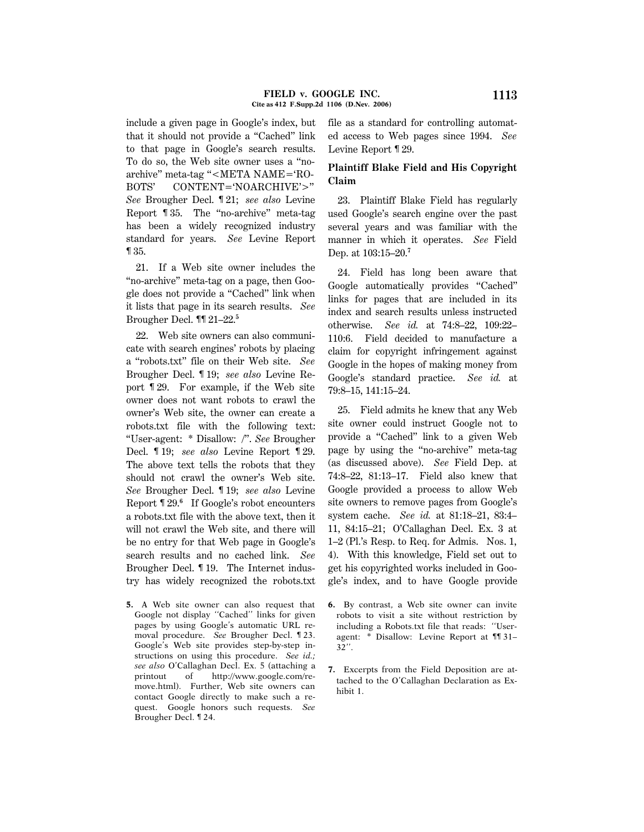include a given page in Google's index, but that it should not provide a ''Cached'' link to that page in Google's search results. To do so, the Web site owner uses a ''noarchive" meta-tag " $\leq$ META NAME= $^{\circ}$ RO-BOTS' CONTENT='NOARCHIVE'>" *See* Brougher Decl. ¶ 21; *see also* Levine Report ¶ 35. The ''no-archive'' meta-tag has been a widely recognized industry standard for years. *See* Levine Report ¶ 35.

21. If a Web site owner includes the ''no-archive'' meta-tag on a page, then Google does not provide a ''Cached'' link when it lists that page in its search results. *See* Brougher Decl. ¶¶ 21–22.**<sup>5</sup>**

22. Web site owners can also communicate with search engines' robots by placing a ''robots.txt'' file on their Web site. *See* Brougher Decl. ¶ 19; *see also* Levine Report ¶ 29. For example, if the Web site owner does not want robots to crawl the owner's Web site, the owner can create a robots.txt file with the following text: ''User-agent: \* Disallow: /''. *See* Brougher Decl. ¶ 19; *see also* Levine Report ¶ 29. The above text tells the robots that they should not crawl the owner's Web site. *See* Brougher Decl. ¶ 19; *see also* Levine Report ¶ 29.**<sup>6</sup>** If Google's robot encounters a robots.txt file with the above text, then it will not crawl the Web site, and there will be no entry for that Web page in Google's search results and no cached link. *See* Brougher Decl. ¶ 19. The Internet industry has widely recognized the robots.txt

**5.** A Web site owner can also request that Google not display ''Cached'' links for given pages by using Google's automatic URL removal procedure. *See* Brougher Decl. ¶ 23. Google's Web site provides step-by-step instructions on using this procedure. *See id.; see also* O'Callaghan Decl. Ex. 5 (attaching a printout of http://www.google.com/remove.html). Further, Web site owners can contact Google directly to make such a request. Google honors such requests. *See* Brougher Decl. ¶ 24.

file as a standard for controlling automated access to Web pages since 1994. *See* Levine Report ¶ 29.

### **Plaintiff Blake Field and His Copyright Claim**

23. Plaintiff Blake Field has regularly used Google's search engine over the past several years and was familiar with the manner in which it operates. *See* Field Dep. at 103:15–20.**<sup>7</sup>**

24. Field has long been aware that Google automatically provides ''Cached'' links for pages that are included in its index and search results unless instructed otherwise. *See id.* at 74:8–22, 109:22– 110:6. Field decided to manufacture a claim for copyright infringement against Google in the hopes of making money from Google's standard practice. *See id.* at 79:8–15, 141:15–24.

25. Field admits he knew that any Web site owner could instruct Google not to provide a ''Cached'' link to a given Web page by using the ''no-archive'' meta-tag (as discussed above). *See* Field Dep. at 74:8–22, 81:13–17. Field also knew that Google provided a process to allow Web site owners to remove pages from Google's system cache. *See id.* at 81:18–21, 83:4– 11, 84:15–21; O'Callaghan Decl. Ex. 3 at 1–2 (Pl.'s Resp. to Req. for Admis. Nos. 1, 4). With this knowledge, Field set out to get his copyrighted works included in Google's index, and to have Google provide

- **6.** By contrast, a Web site owner can invite robots to visit a site without restriction by including a Robots.txt file that reads: ''Useragent: \* Disallow: Levine Report at ¶¶ 31– 32''.
- **7.** Excerpts from the Field Deposition are attached to the O'Callaghan Declaration as Exhibit 1.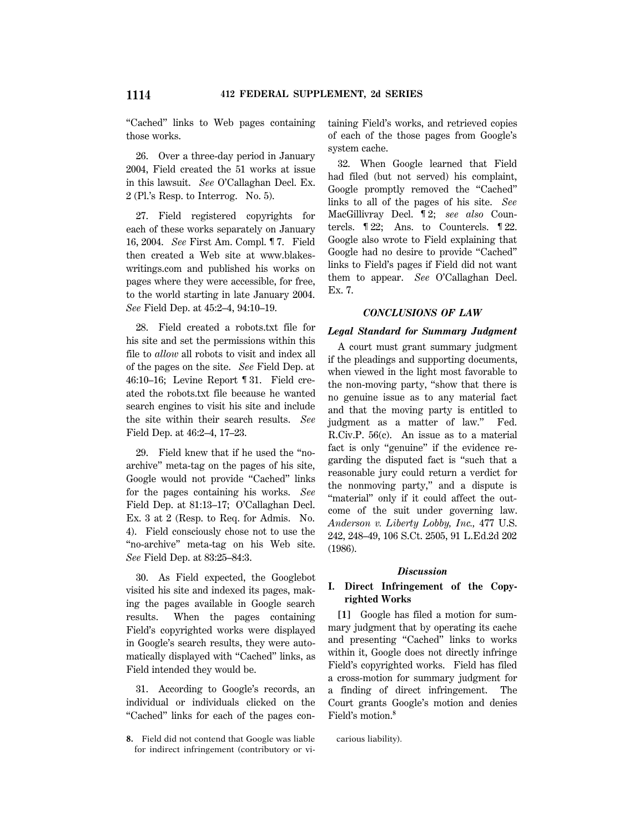''Cached'' links to Web pages containing those works.

26. Over a three-day period in January 2004, Field created the 51 works at issue in this lawsuit. *See* O'Callaghan Decl. Ex. 2 (Pl.'s Resp. to Interrog. No. 5).

27. Field registered copyrights for each of these works separately on January 16, 2004. *See* First Am. Compl. ¶ 7. Field then created a Web site at www.blakeswritings.com and published his works on pages where they were accessible, for free, to the world starting in late January 2004. *See* Field Dep. at 45:2–4, 94:10–19.

28. Field created a robots.txt file for his site and set the permissions within this file to *allow* all robots to visit and index all of the pages on the site. *See* Field Dep. at 46:10–16; Levine Report ¶ 31. Field created the robots.txt file because he wanted search engines to visit his site and include the site within their search results. *See* Field Dep. at 46:2–4, 17–23.

29. Field knew that if he used the ''noarchive'' meta-tag on the pages of his site, Google would not provide "Cached" links for the pages containing his works. *See* Field Dep. at 81:13–17; O'Callaghan Decl. Ex. 3 at 2 (Resp. to Req. for Admis. No. 4). Field consciously chose not to use the "no-archive" meta-tag on his Web site. *See* Field Dep. at 83:25–84:3.

30. As Field expected, the Googlebot visited his site and indexed its pages, making the pages available in Google search results. When the pages containing Field's copyrighted works were displayed in Google's search results, they were automatically displayed with ''Cached'' links, as Field intended they would be.

31. According to Google's records, an individual or individuals clicked on the ''Cached'' links for each of the pages containing Field's works, and retrieved copies of each of the those pages from Google's system cache.

32. When Google learned that Field had filed (but not served) his complaint, Google promptly removed the ''Cached'' links to all of the pages of his site. *See* MacGillivray Decl. ¶ 2; *see also* Countercls. ¶ 22; Ans. to Countercls. ¶ 22. Google also wrote to Field explaining that Google had no desire to provide ''Cached'' links to Field's pages if Field did not want them to appear. *See* O'Callaghan Decl. Ex. 7.

#### *CONCLUSIONS OF LAW*

#### *Legal Standard for Summary Judgment*

A court must grant summary judgment if the pleadings and supporting documents, when viewed in the light most favorable to the non-moving party, ''show that there is no genuine issue as to any material fact and that the moving party is entitled to judgment as a matter of law.'' Fed. R.Civ.P. 56(c). An issue as to a material fact is only "genuine" if the evidence regarding the disputed fact is ''such that a reasonable jury could return a verdict for the nonmoving party,'' and a dispute is "material" only if it could affect the outcome of the suit under governing law. *Anderson v. Liberty Lobby, Inc.,* 477 U.S. 242, 248–49, 106 S.Ct. 2505, 91 L.Ed.2d 202 (1986).

#### *Discussion*

## **I. Direct Infringement of the Copyrighted Works**

**[1]** Google has filed a motion for summary judgment that by operating its cache and presenting ''Cached'' links to works within it, Google does not directly infringe Field's copyrighted works. Field has filed a cross-motion for summary judgment for a finding of direct infringement. The Court grants Google's motion and denies Field's motion.**<sup>8</sup>**

carious liability).

**<sup>8.</sup>** Field did not contend that Google was liable for indirect infringement (contributory or vi-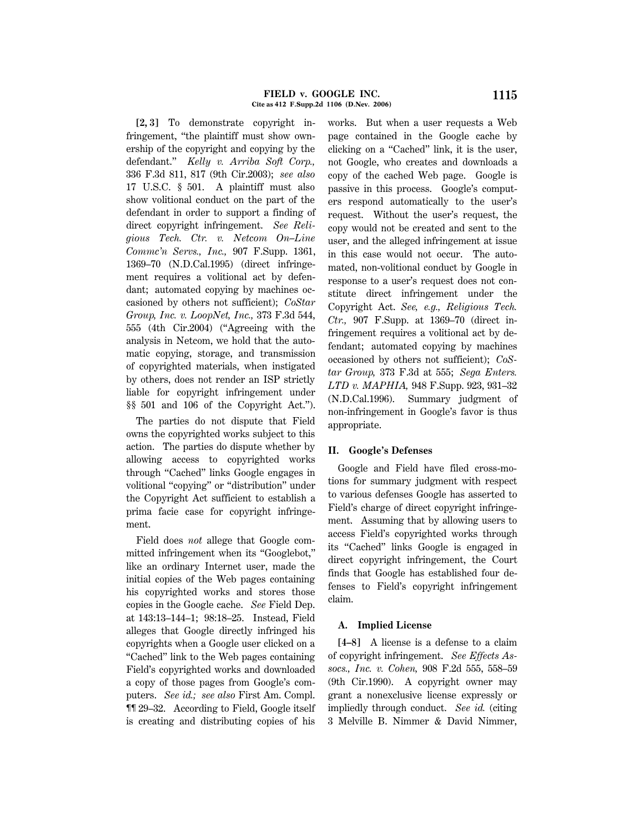**[2, 3]** To demonstrate copyright infringement, ''the plaintiff must show ownership of the copyright and copying by the defendant.'' *Kelly v. Arriba Soft Corp.,* 336 F.3d 811, 817 (9th Cir.2003); *see also* 17 U.S.C. § 501. A plaintiff must also show volitional conduct on the part of the defendant in order to support a finding of direct copyright infringement. *See Religious Tech. Ctr. v. Netcom On–Line Commc'n Servs., Inc.,* 907 F.Supp. 1361, 1369–70 (N.D.Cal.1995) (direct infringement requires a volitional act by defendant; automated copying by machines occasioned by others not sufficient); *CoStar Group, Inc. v. LoopNet, Inc.,* 373 F.3d 544, 555 (4th Cir.2004) (''Agreeing with the analysis in Netcom, we hold that the automatic copying, storage, and transmission of copyrighted materials, when instigated by others, does not render an ISP strictly liable for copyright infringement under §§ 501 and 106 of the Copyright Act.'').

The parties do not dispute that Field owns the copyrighted works subject to this action. The parties do dispute whether by allowing access to copyrighted works through "Cached" links Google engages in volitional "copying" or "distribution" under the Copyright Act sufficient to establish a prima facie case for copyright infringement.

Field does *not* allege that Google committed infringement when its ''Googlebot,'' like an ordinary Internet user, made the initial copies of the Web pages containing his copyrighted works and stores those copies in the Google cache. *See* Field Dep. at 143:13–144–1; 98:18–25. Instead, Field alleges that Google directly infringed his copyrights when a Google user clicked on a ''Cached'' link to the Web pages containing Field's copyrighted works and downloaded a copy of those pages from Google's computers. *See id.; see also* First Am. Compl. ¶¶ 29–32. According to Field, Google itself is creating and distributing copies of his works. But when a user requests a Web page contained in the Google cache by clicking on a ''Cached'' link, it is the user, not Google, who creates and downloads a copy of the cached Web page. Google is passive in this process. Google's computers respond automatically to the user's request. Without the user's request, the copy would not be created and sent to the user, and the alleged infringement at issue in this case would not occur. The automated, non-volitional conduct by Google in response to a user's request does not constitute direct infringement under the Copyright Act. *See, e.g., Religious Tech. Ctr.,* 907 F.Supp. at 1369–70 (direct infringement requires a volitional act by defendant; automated copying by machines occasioned by others not sufficient); *CoStar Group,* 373 F.3d at 555; *Sega Enters. LTD v. MAPHIA,* 948 F.Supp. 923, 931–32 (N.D.Cal.1996). Summary judgment of non-infringement in Google's favor is thus appropriate.

### **II. Google's Defenses**

Google and Field have filed cross-motions for summary judgment with respect to various defenses Google has asserted to Field's charge of direct copyright infringement. Assuming that by allowing users to access Field's copyrighted works through its ''Cached'' links Google is engaged in direct copyright infringement, the Court finds that Google has established four defenses to Field's copyright infringement claim.

### **A. Implied License**

**[4–8]** A license is a defense to a claim of copyright infringement. *See Effects Assocs., Inc. v. Cohen,* 908 F.2d 555, 558–59 (9th Cir.1990). A copyright owner may grant a nonexclusive license expressly or impliedly through conduct. *See id.* (citing 3 Melville B. Nimmer & David Nimmer,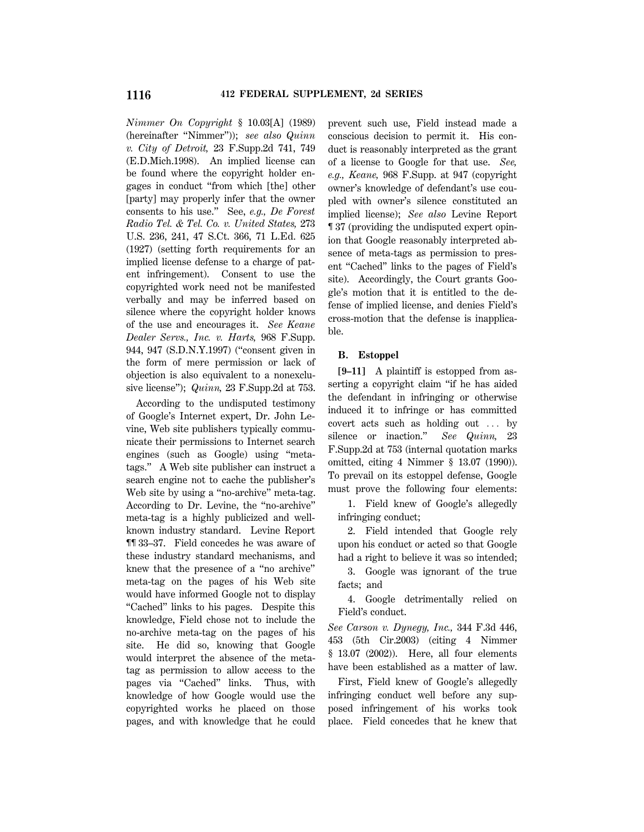*Nimmer On Copyright* § 10.03[A] (1989) (hereinafter ''Nimmer'')); *see also Quinn v. City of Detroit,* 23 F.Supp.2d 741, 749 (E.D.Mich.1998). An implied license can be found where the copyright holder engages in conduct ''from which [the] other [party] may properly infer that the owner consents to his use.'' See, *e.g., De Forest Radio Tel. & Tel. Co. v. United States,* 273 U.S. 236, 241, 47 S.Ct. 366, 71 L.Ed. 625 (1927) (setting forth requirements for an implied license defense to a charge of patent infringement). Consent to use the copyrighted work need not be manifested verbally and may be inferred based on silence where the copyright holder knows of the use and encourages it. *See Keane Dealer Servs., Inc. v. Harts,* 968 F.Supp. 944, 947 (S.D.N.Y.1997) (''consent given in the form of mere permission or lack of objection is also equivalent to a nonexclusive license''); *Quinn,* 23 F.Supp.2d at 753.

According to the undisputed testimony of Google's Internet expert, Dr. John Levine, Web site publishers typically communicate their permissions to Internet search engines (such as Google) using ''metatags.'' A Web site publisher can instruct a search engine not to cache the publisher's Web site by using a "no-archive" meta-tag. According to Dr. Levine, the ''no-archive'' meta-tag is a highly publicized and wellknown industry standard. Levine Report ¶¶ 33–37. Field concedes he was aware of these industry standard mechanisms, and knew that the presence of a ''no archive'' meta-tag on the pages of his Web site would have informed Google not to display ''Cached'' links to his pages. Despite this knowledge, Field chose not to include the no-archive meta-tag on the pages of his site. He did so, knowing that Google would interpret the absence of the metatag as permission to allow access to the pages via "Cached" links. Thus, with knowledge of how Google would use the copyrighted works he placed on those pages, and with knowledge that he could prevent such use, Field instead made a conscious decision to permit it. His conduct is reasonably interpreted as the grant of a license to Google for that use. *See, e.g., Keane,* 968 F.Supp. at 947 (copyright owner's knowledge of defendant's use coupled with owner's silence constituted an implied license); *See also* Levine Report ¶ 37 (providing the undisputed expert opinion that Google reasonably interpreted absence of meta-tags as permission to present ''Cached'' links to the pages of Field's site). Accordingly, the Court grants Google's motion that it is entitled to the defense of implied license, and denies Field's cross-motion that the defense is inapplicable.

### **B. Estoppel**

**[9–11]** A plaintiff is estopped from asserting a copyright claim ''if he has aided the defendant in infringing or otherwise induced it to infringe or has committed covert acts such as holding out  $\ldots$  by silence or inaction.'' *See Quinn,* 23 F.Supp.2d at 753 (internal quotation marks omitted, citing 4 Nimmer § 13.07 (1990)). To prevail on its estoppel defense, Google must prove the following four elements:

1. Field knew of Google's allegedly infringing conduct;

2. Field intended that Google rely upon his conduct or acted so that Google had a right to believe it was so intended;

3. Google was ignorant of the true facts; and

4. Google detrimentally relied on Field's conduct.

*See Carson v. Dynegy, Inc.,* 344 F.3d 446, 453 (5th Cir.2003) (citing 4 Nimmer § 13.07 (2002)). Here, all four elements have been established as a matter of law.

First, Field knew of Google's allegedly infringing conduct well before any supposed infringement of his works took place. Field concedes that he knew that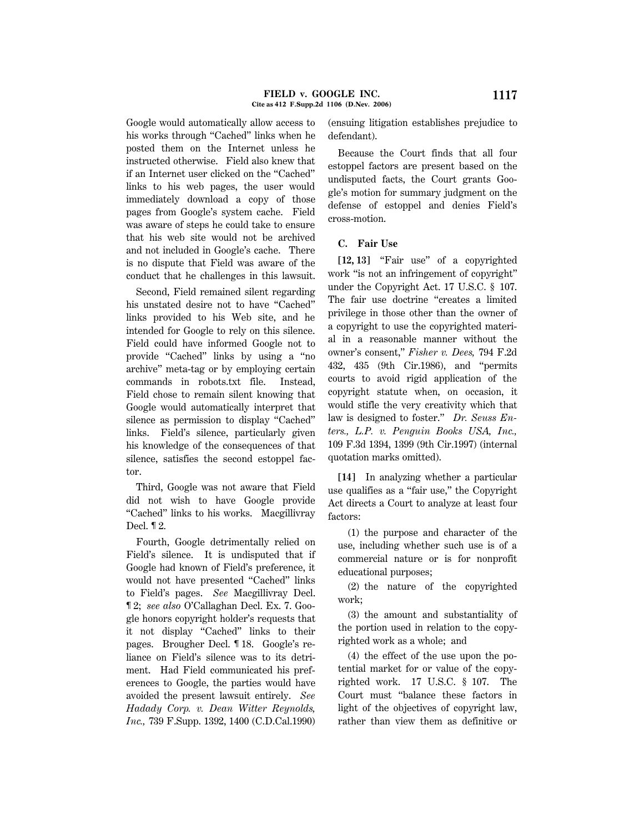Google would automatically allow access to his works through "Cached" links when he posted them on the Internet unless he instructed otherwise. Field also knew that if an Internet user clicked on the ''Cached'' links to his web pages, the user would immediately download a copy of those pages from Google's system cache. Field was aware of steps he could take to ensure that his web site would not be archived and not included in Google's cache. There is no dispute that Field was aware of the conduct that he challenges in this lawsuit.

Second, Field remained silent regarding his unstated desire not to have ''Cached'' links provided to his Web site, and he intended for Google to rely on this silence. Field could have informed Google not to provide "Cached" links by using a "no archive'' meta-tag or by employing certain commands in robots.txt file. Instead, Field chose to remain silent knowing that Google would automatically interpret that silence as permission to display ''Cached'' links. Field's silence, particularly given his knowledge of the consequences of that silence, satisfies the second estoppel factor.

Third, Google was not aware that Field did not wish to have Google provide ''Cached'' links to his works. Macgillivray Decl. ¶ 2.

Fourth, Google detrimentally relied on Field's silence. It is undisputed that if Google had known of Field's preference, it would not have presented ''Cached'' links to Field's pages. *See* Macgillivray Decl. ¶ 2; *see also* O'Callaghan Decl. Ex. 7. Google honors copyright holder's requests that it not display ''Cached'' links to their pages. Brougher Decl. ¶ 18. Google's reliance on Field's silence was to its detriment. Had Field communicated his preferences to Google, the parties would have avoided the present lawsuit entirely. *See Hadady Corp. v. Dean Witter Reynolds, Inc.,* 739 F.Supp. 1392, 1400 (C.D.Cal.1990) (ensuing litigation establishes prejudice to defendant).

Because the Court finds that all four estoppel factors are present based on the undisputed facts, the Court grants Google's motion for summary judgment on the defense of estoppel and denies Field's cross-motion.

### **C. Fair Use**

**[12, 13]** ''Fair use'' of a copyrighted work "is not an infringement of copyright" under the Copyright Act. 17 U.S.C. § 107. The fair use doctrine "creates a limited privilege in those other than the owner of a copyright to use the copyrighted material in a reasonable manner without the owner's consent,'' *Fisher v. Dees,* 794 F.2d 432, 435 (9th Cir.1986), and ''permits courts to avoid rigid application of the copyright statute when, on occasion, it would stifle the very creativity which that law is designed to foster.'' *Dr. Seuss Enters., L.P. v. Penguin Books USA, Inc.,* 109 F.3d 1394, 1399 (9th Cir.1997) (internal quotation marks omitted).

**[14]** In analyzing whether a particular use qualifies as a ''fair use,'' the Copyright Act directs a Court to analyze at least four factors:

(1) the purpose and character of the use, including whether such use is of a commercial nature or is for nonprofit educational purposes;

(2) the nature of the copyrighted work;

(3) the amount and substantiality of the portion used in relation to the copyrighted work as a whole; and

(4) the effect of the use upon the potential market for or value of the copyrighted work. 17 U.S.C. § 107. The Court must ''balance these factors in light of the objectives of copyright law, rather than view them as definitive or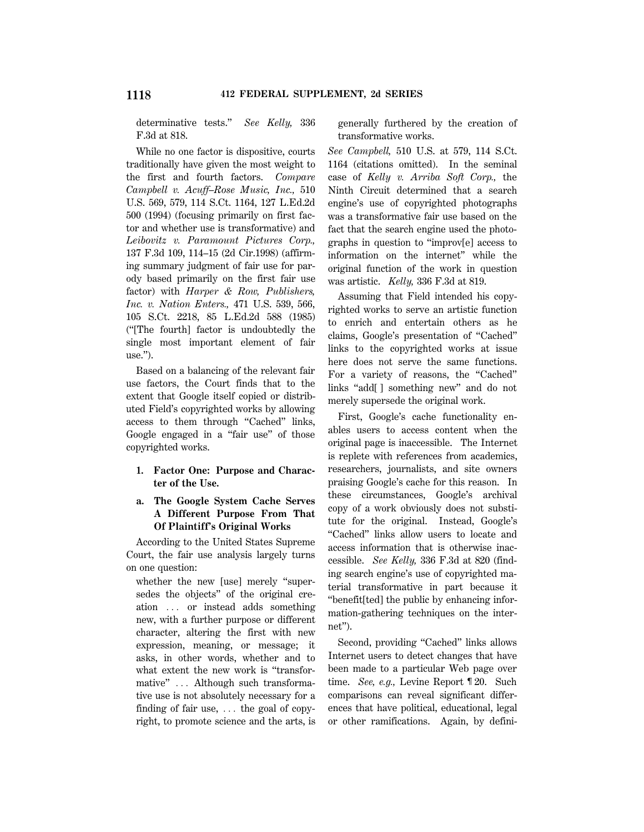determinative tests.'' *See Kelly,* 336 F.3d at 818.

While no one factor is dispositive, courts traditionally have given the most weight to the first and fourth factors. *Compare Campbell v. Acuff–Rose Music, Inc.,* 510 U.S. 569, 579, 114 S.Ct. 1164, 127 L.Ed.2d 500 (1994) (focusing primarily on first factor and whether use is transformative) and *Leibovitz v. Paramount Pictures Corp.,* 137 F.3d 109, 114–15 (2d Cir.1998) (affirming summary judgment of fair use for parody based primarily on the first fair use factor) with *Harper & Row, Publishers, Inc. v. Nation Enters.,* 471 U.S. 539, 566, 105 S.Ct. 2218, 85 L.Ed.2d 588 (1985) (''[The fourth] factor is undoubtedly the single most important element of fair use.'').

Based on a balancing of the relevant fair use factors, the Court finds that to the extent that Google itself copied or distributed Field's copyrighted works by allowing access to them through "Cached" links, Google engaged in a "fair use" of those copyrighted works.

### **1. Factor One: Purpose and Character of the Use.**

### **a. The Google System Cache Serves A Different Purpose From That Of Plaintiff's Original Works**

According to the United States Supreme Court, the fair use analysis largely turns on one question:

whether the new [use] merely "supersedes the objects'' of the original creation ... or instead adds something new, with a further purpose or different character, altering the first with new expression, meaning, or message; it asks, in other words, whether and to what extent the new work is "transformative" ... Although such transformative use is not absolutely necessary for a finding of fair use,  $\ldots$  the goal of copyright, to promote science and the arts, is generally furthered by the creation of transformative works.

*See Campbell,* 510 U.S. at 579, 114 S.Ct. 1164 (citations omitted). In the seminal case of *Kelly v. Arriba Soft Corp.,* the Ninth Circuit determined that a search engine's use of copyrighted photographs was a transformative fair use based on the fact that the search engine used the photographs in question to ''improv[e] access to information on the internet'' while the original function of the work in question was artistic. *Kelly,* 336 F.3d at 819.

Assuming that Field intended his copyrighted works to serve an artistic function to enrich and entertain others as he claims, Google's presentation of ''Cached'' links to the copyrighted works at issue here does not serve the same functions. For a variety of reasons, the "Cached" links ''add[ ] something new'' and do not merely supersede the original work.

First, Google's cache functionality enables users to access content when the original page is inaccessible. The Internet is replete with references from academics, researchers, journalists, and site owners praising Google's cache for this reason. In these circumstances, Google's archival copy of a work obviously does not substitute for the original. Instead, Google's ''Cached'' links allow users to locate and access information that is otherwise inaccessible. *See Kelly,* 336 F.3d at 820 (finding search engine's use of copyrighted material transformative in part because it ''benefit[ted] the public by enhancing information-gathering techniques on the internet'').

Second, providing "Cached" links allows Internet users to detect changes that have been made to a particular Web page over time. *See, e.g.,* Levine Report ¶ 20. Such comparisons can reveal significant differences that have political, educational, legal or other ramifications. Again, by defini-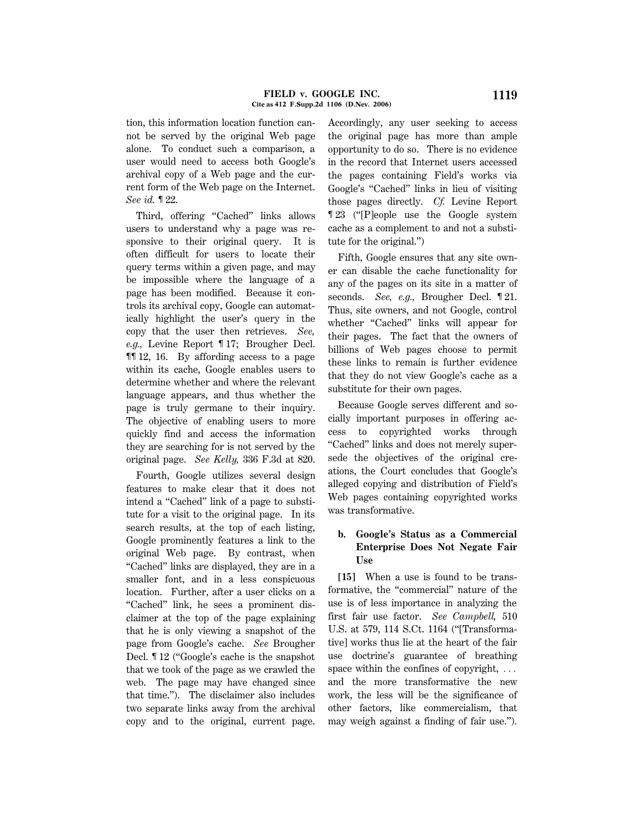#### **FIELD v. GOOGLE INC. 1119 Cite as 412 F.Supp.2d 1106 (D.Nev. 2006)**

tion, this information location function cannot be served by the original Web page alone. To conduct such a comparison, a user would need to access both Google's archival copy of a Web page and the current form of the Web page on the Internet. *See id.* ¶ 22.

Third, offering "Cached" links allows users to understand why a page was responsive to their original query. It is often difficult for users to locate their query terms within a given page, and may be impossible where the language of a page has been modified. Because it controls its archival copy, Google can automatically highlight the user's query in the copy that the user then retrieves. *See, e.g.,* Levine Report ¶ 17; Brougher Decl. ¶¶ 12, 16. By affording access to a page within its cache, Google enables users to determine whether and where the relevant language appears, and thus whether the page is truly germane to their inquiry. The objective of enabling users to more quickly find and access the information they are searching for is not served by the original page. *See Kelly,* 336 F.3d at 820.

Fourth, Google utilizes several design features to make clear that it does not intend a "Cached" link of a page to substitute for a visit to the original page. In its search results, at the top of each listing, Google prominently features a link to the original Web page. By contrast, when ''Cached'' links are displayed, they are in a smaller font, and in a less conspicuous location. Further, after a user clicks on a ''Cached'' link, he sees a prominent disclaimer at the top of the page explaining that he is only viewing a snapshot of the page from Google's cache. *See* Brougher Decl. ¶ 12 (''Google's cache is the snapshot that we took of the page as we crawled the web. The page may have changed since that time.''). The disclaimer also includes two separate links away from the archival copy and to the original, current page. Accordingly, any user seeking to access the original page has more than ample opportunity to do so. There is no evidence in the record that Internet users accessed the pages containing Field's works via Google's ''Cached'' links in lieu of visiting those pages directly. *Cf.* Levine Report ¶ 23 (''[P]eople use the Google system cache as a complement to and not a substitute for the original.'')

Fifth, Google ensures that any site owner can disable the cache functionality for any of the pages on its site in a matter of seconds. *See, e.g.,* Brougher Decl. ¶ 21. Thus, site owners, and not Google, control whether "Cached" links will appear for their pages. The fact that the owners of billions of Web pages choose to permit these links to remain is further evidence that they do not view Google's cache as a substitute for their own pages.

Because Google serves different and socially important purposes in offering access to copyrighted works through ''Cached'' links and does not merely supersede the objectives of the original creations, the Court concludes that Google's alleged copying and distribution of Field's Web pages containing copyrighted works was transformative.

# **b. Google's Status as a Commercial Enterprise Does Not Negate Fair Use**

**[15]** When a use is found to be transformative, the ''commercial'' nature of the use is of less importance in analyzing the first fair use factor. *See Campbell,* 510 U.S. at 579, 114 S.Ct. 1164 (''[Transformative] works thus lie at the heart of the fair use doctrine's guarantee of breathing space within the confines of copyright,  $\dots$ and the more transformative the new work, the less will be the significance of other factors, like commercialism, that may weigh against a finding of fair use.'').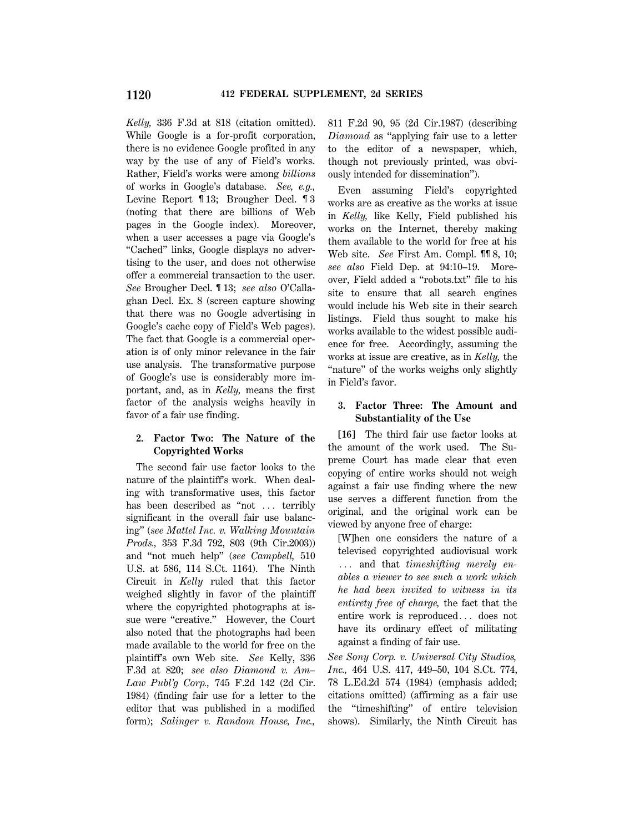*Kelly,* 336 F.3d at 818 (citation omitted). While Google is a for-profit corporation, there is no evidence Google profited in any way by the use of any of Field's works. Rather, Field's works were among *billions* of works in Google's database. *See, e.g.,* Levine Report ¶ 13; Brougher Decl. ¶ 3 (noting that there are billions of Web pages in the Google index). Moreover, when a user accesses a page via Google's ''Cached'' links, Google displays no advertising to the user, and does not otherwise offer a commercial transaction to the user. *See* Brougher Decl. ¶ 13; *see also* O'Callaghan Decl. Ex. 8 (screen capture showing that there was no Google advertising in Google's cache copy of Field's Web pages). The fact that Google is a commercial operation is of only minor relevance in the fair use analysis. The transformative purpose of Google's use is considerably more important, and, as in *Kelly,* means the first factor of the analysis weighs heavily in favor of a fair use finding.

### **2. Factor Two: The Nature of the Copyrighted Works**

The second fair use factor looks to the nature of the plaintiff's work. When dealing with transformative uses, this factor has been described as "not  $\ldots$  terribly significant in the overall fair use balancing'' (*see Mattel Inc. v. Walking Mountain Prods.,* 353 F.3d 792, 803 (9th Cir.2003)) and ''not much help'' (*see Campbell,* 510 U.S. at 586, 114 S.Ct. 1164). The Ninth Circuit in *Kelly* ruled that this factor weighed slightly in favor of the plaintiff where the copyrighted photographs at issue were "creative." However, the Court also noted that the photographs had been made available to the world for free on the plaintiff's own Web site. *See* Kelly, 336 F.3d at 820; *see also Diamond v. Am– Law Publ'g Corp.,* 745 F.2d 142 (2d Cir. 1984) (finding fair use for a letter to the editor that was published in a modified form); *Salinger v. Random House, Inc.,*

811 F.2d 90, 95 (2d Cir.1987) (describing *Diamond* as ''applying fair use to a letter to the editor of a newspaper, which, though not previously printed, was obviously intended for dissemination'').

Even assuming Field's copyrighted works are as creative as the works at issue in *Kelly,* like Kelly, Field published his works on the Internet, thereby making them available to the world for free at his Web site. *See* First Am. Compl. ¶¶ 8, 10; *see also* Field Dep. at 94:10–19. Moreover, Field added a ''robots.txt'' file to his site to ensure that all search engines would include his Web site in their search listings. Field thus sought to make his works available to the widest possible audience for free. Accordingly, assuming the works at issue are creative, as in *Kelly,* the "nature" of the works weighs only slightly in Field's favor.

# **3. Factor Three: The Amount and Substantiality of the Use**

**[16]** The third fair use factor looks at the amount of the work used. The Supreme Court has made clear that even copying of entire works should not weigh against a fair use finding where the new use serves a different function from the original, and the original work can be viewed by anyone free of charge:

[W]hen one considers the nature of a televised copyrighted audiovisual work ... and that *timeshifting merely enables a viewer to see such a work which he had been invited to witness in its entirety free of charge,* the fact that the entire work is reproduced... does not have its ordinary effect of militating against a finding of fair use.

*See Sony Corp. v. Universal City Studios, Inc.,* 464 U.S. 417, 449–50, 104 S.Ct. 774, 78 L.Ed.2d 574 (1984) (emphasis added; citations omitted) (affirming as a fair use the ''timeshifting'' of entire television shows). Similarly, the Ninth Circuit has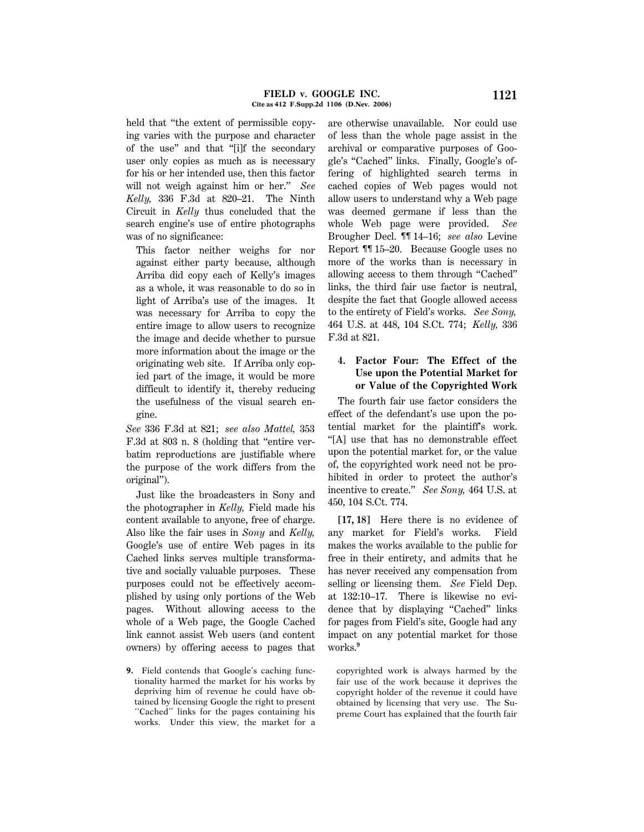held that "the extent of permissible copying varies with the purpose and character of the use'' and that ''[i]f the secondary user only copies as much as is necessary for his or her intended use, then this factor will not weigh against him or her.'' *See Kelly,* 336 F.3d at 820–21. The Ninth Circuit in *Kelly* thus concluded that the search engine's use of entire photographs was of no significance:

This factor neither weighs for nor against either party because, although Arriba did copy each of Kelly's images as a whole, it was reasonable to do so in light of Arriba's use of the images. It was necessary for Arriba to copy the entire image to allow users to recognize the image and decide whether to pursue more information about the image or the originating web site. If Arriba only copied part of the image, it would be more difficult to identify it, thereby reducing the usefulness of the visual search engine.

*See* 336 F.3d at 821; *see also Mattel,* 353 F.3d at 803 n. 8 (holding that ''entire verbatim reproductions are justifiable where the purpose of the work differs from the original'').

Just like the broadcasters in Sony and the photographer in *Kelly,* Field made his content available to anyone, free of charge. Also like the fair uses in *Sony* and *Kelly,* Google's use of entire Web pages in its Cached links serves multiple transformative and socially valuable purposes. These purposes could not be effectively accomplished by using only portions of the Web pages. Without allowing access to the whole of a Web page, the Google Cached link cannot assist Web users (and content owners) by offering access to pages that

**9.** Field contends that Google's caching functionality harmed the market for his works by depriving him of revenue he could have obtained by licensing Google the right to present ''Cached'' links for the pages containing his works. Under this view, the market for a are otherwise unavailable. Nor could use of less than the whole page assist in the archival or comparative purposes of Google's ''Cached'' links. Finally, Google's offering of highlighted search terms in cached copies of Web pages would not allow users to understand why a Web page was deemed germane if less than the whole Web page were provided. *See* Brougher Decl. ¶¶ 14–16; *see also* Levine Report ¶¶ 15–20. Because Google uses no more of the works than is necessary in allowing access to them through ''Cached'' links, the third fair use factor is neutral, despite the fact that Google allowed access to the entirety of Field's works. *See Sony,* 464 U.S. at 448, 104 S.Ct. 774; *Kelly,* 336 F.3d at 821.

### **4. Factor Four: The Effect of the Use upon the Potential Market for or Value of the Copyrighted Work**

The fourth fair use factor considers the effect of the defendant's use upon the potential market for the plaintiff's work. ''[A] use that has no demonstrable effect upon the potential market for, or the value of, the copyrighted work need not be prohibited in order to protect the author's incentive to create.'' *See Sony,* 464 U.S. at 450, 104 S.Ct. 774.

**[17, 18]** Here there is no evidence of any market for Field's works. Field makes the works available to the public for free in their entirety, and admits that he has never received any compensation from selling or licensing them. *See* Field Dep. at 132:10–17. There is likewise no evidence that by displaying ''Cached'' links for pages from Field's site, Google had any impact on any potential market for those works.**<sup>9</sup>**

copyrighted work is always harmed by the fair use of the work because it deprives the copyright holder of the revenue it could have obtained by licensing that very use. The Supreme Court has explained that the fourth fair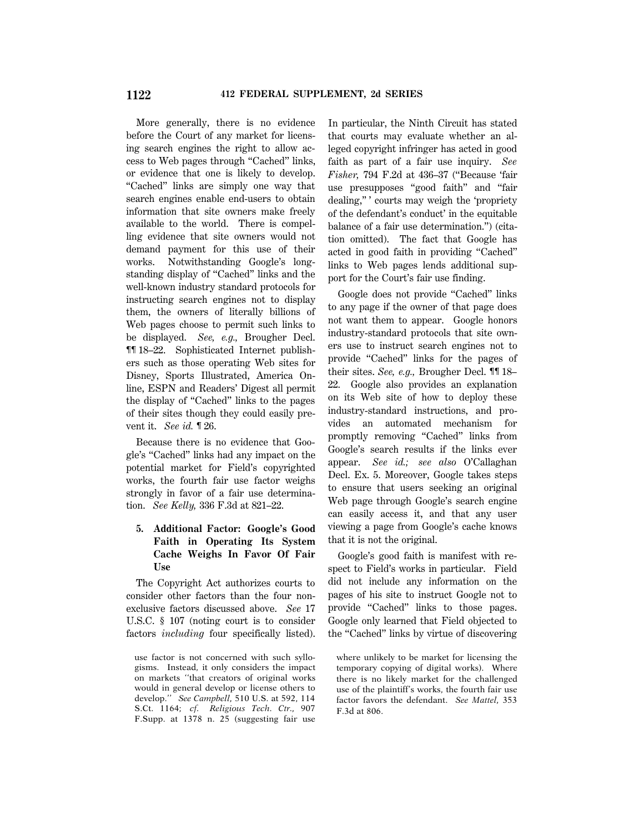More generally, there is no evidence before the Court of any market for licensing search engines the right to allow access to Web pages through "Cached" links, or evidence that one is likely to develop. ''Cached'' links are simply one way that search engines enable end-users to obtain information that site owners make freely available to the world. There is compelling evidence that site owners would not demand payment for this use of their works. Notwithstanding Google's longstanding display of "Cached" links and the well-known industry standard protocols for instructing search engines not to display them, the owners of literally billions of Web pages choose to permit such links to be displayed. *See, e.g.,* Brougher Decl. ¶¶ 18–22. Sophisticated Internet publishers such as those operating Web sites for Disney, Sports Illustrated, America Online, ESPN and Readers' Digest all permit the display of ''Cached'' links to the pages of their sites though they could easily prevent it. *See id.* ¶ 26.

Because there is no evidence that Google's ''Cached'' links had any impact on the potential market for Field's copyrighted works, the fourth fair use factor weighs strongly in favor of a fair use determination. *See Kelly,* 336 F.3d at 821–22.

### **5. Additional Factor: Google's Good Faith in Operating Its System Cache Weighs In Favor Of Fair Use**

The Copyright Act authorizes courts to consider other factors than the four nonexclusive factors discussed above. *See* 17 U.S.C. § 107 (noting court is to consider factors *including* four specifically listed). In particular, the Ninth Circuit has stated that courts may evaluate whether an alleged copyright infringer has acted in good faith as part of a fair use inquiry. *See Fisher,* 794 F.2d at 436–37 (''Because 'fair use presupposes ''good faith'' and ''fair dealing,'' ' courts may weigh the 'propriety of the defendant's conduct' in the equitable balance of a fair use determination.'') (citation omitted). The fact that Google has acted in good faith in providing ''Cached'' links to Web pages lends additional support for the Court's fair use finding.

Google does not provide "Cached" links to any page if the owner of that page does not want them to appear. Google honors industry-standard protocols that site owners use to instruct search engines not to provide "Cached" links for the pages of their sites. *See, e.g.,* Brougher Decl. ¶¶ 18– 22. Google also provides an explanation on its Web site of how to deploy these industry-standard instructions, and provides an automated mechanism for promptly removing ''Cached'' links from Google's search results if the links ever appear. *See id.; see also* O'Callaghan Decl. Ex. 5. Moreover, Google takes steps to ensure that users seeking an original Web page through Google's search engine can easily access it, and that any user viewing a page from Google's cache knows that it is not the original.

Google's good faith is manifest with respect to Field's works in particular. Field did not include any information on the pages of his site to instruct Google not to provide "Cached" links to those pages. Google only learned that Field objected to the ''Cached'' links by virtue of discovering

where unlikely to be market for licensing the temporary copying of digital works). Where there is no likely market for the challenged use of the plaintiff's works, the fourth fair use factor favors the defendant. *See Mattel,* 353 F.3d at 806.

use factor is not concerned with such syllogisms. Instead, it only considers the impact on markets ''that creators of original works would in general develop or license others to develop.'' *See Campbell,* 510 U.S. at 592, 114 S.Ct. 1164; *cf. Religious Tech. Ctr.,* 907 F.Supp. at 1378 n. 25 (suggesting fair use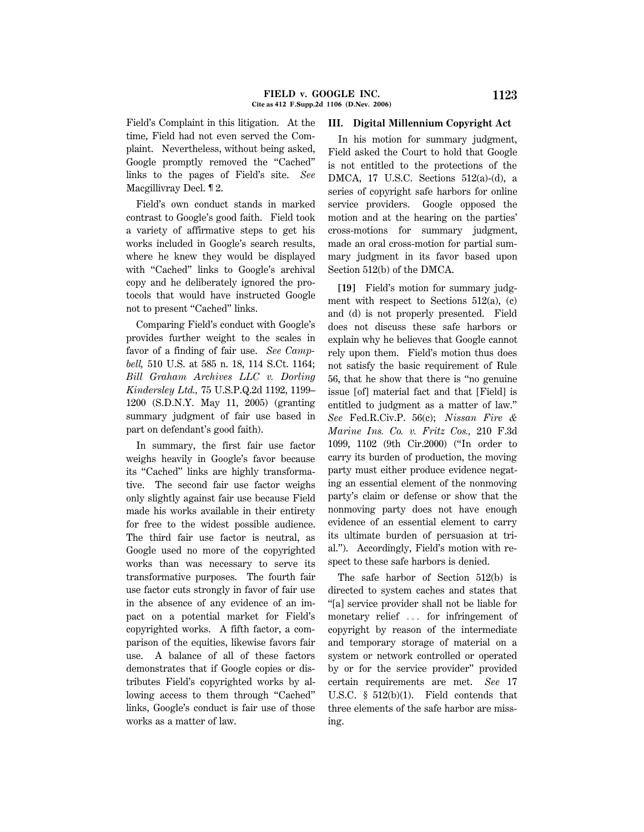Field's Complaint in this litigation. At the time, Field had not even served the Complaint. Nevertheless, without being asked, Google promptly removed the ''Cached'' links to the pages of Field's site. *See* Macgillivray Decl. ¶ 2.

Field's own conduct stands in marked contrast to Google's good faith. Field took a variety of affirmative steps to get his works included in Google's search results, where he knew they would be displayed with ''Cached'' links to Google's archival copy and he deliberately ignored the protocols that would have instructed Google not to present "Cached" links.

Comparing Field's conduct with Google's provides further weight to the scales in favor of a finding of fair use. *See Campbell,* 510 U.S. at 585 n. 18, 114 S.Ct. 1164; *Bill Graham Archives LLC v. Dorling Kindersley Ltd.,* 75 U.S.P.Q.2d 1192, 1199– 1200 (S.D.N.Y. May 11, 2005) (granting summary judgment of fair use based in part on defendant's good faith).

In summary, the first fair use factor weighs heavily in Google's favor because its "Cached" links are highly transformative. The second fair use factor weighs only slightly against fair use because Field made his works available in their entirety for free to the widest possible audience. The third fair use factor is neutral, as Google used no more of the copyrighted works than was necessary to serve its transformative purposes. The fourth fair use factor cuts strongly in favor of fair use in the absence of any evidence of an impact on a potential market for Field's copyrighted works. A fifth factor, a comparison of the equities, likewise favors fair use. A balance of all of these factors demonstrates that if Google copies or distributes Field's copyrighted works by allowing access to them through ''Cached'' links, Google's conduct is fair use of those works as a matter of law.

### **III. Digital Millennium Copyright Act**

In his motion for summary judgment, Field asked the Court to hold that Google is not entitled to the protections of the DMCA, 17 U.S.C. Sections 512(a)-(d), a series of copyright safe harbors for online service providers. Google opposed the motion and at the hearing on the parties' cross-motions for summary judgment, made an oral cross-motion for partial summary judgment in its favor based upon Section 512(b) of the DMCA.

**[19]** Field's motion for summary judgment with respect to Sections  $512(a)$ , (c) and (d) is not properly presented. Field does not discuss these safe harbors or explain why he believes that Google cannot rely upon them. Field's motion thus does not satisfy the basic requirement of Rule 56, that he show that there is ''no genuine issue [of] material fact and that [Field] is entitled to judgment as a matter of law.'' *See* Fed.R.Civ.P. 56(c); *Nissan Fire & Marine Ins. Co. v. Fritz Cos.,* 210 F.3d 1099, 1102 (9th Cir.2000) (''In order to carry its burden of production, the moving party must either produce evidence negating an essential element of the nonmoving party's claim or defense or show that the nonmoving party does not have enough evidence of an essential element to carry its ultimate burden of persuasion at trial.''). Accordingly, Field's motion with respect to these safe harbors is denied.

The safe harbor of Section 512(b) is directed to system caches and states that ''[a] service provider shall not be liable for monetary relief  $\ldots$  for infringement of copyright by reason of the intermediate and temporary storage of material on a system or network controlled or operated by or for the service provider'' provided certain requirements are met. *See* 17 U.S.C. § 512(b)(1). Field contends that three elements of the safe harbor are missing.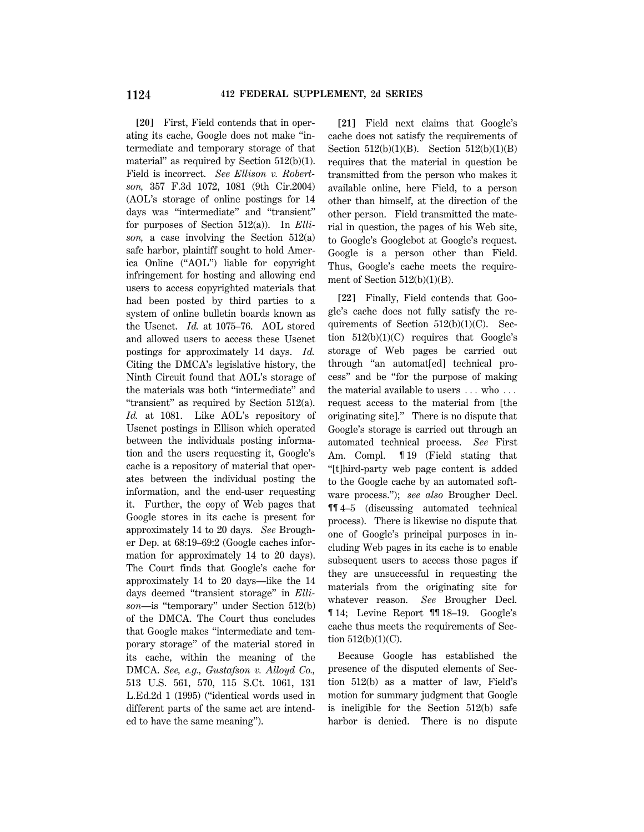**[20]** First, Field contends that in operating its cache, Google does not make ''intermediate and temporary storage of that material" as required by Section 512(b)(1). Field is incorrect. *See Ellison v. Robertson,* 357 F.3d 1072, 1081 (9th Cir.2004) (AOL's storage of online postings for 14 days was ''intermediate'' and ''transient'' for purposes of Section 512(a)). In *Ellison,* a case involving the Section 512(a) safe harbor, plaintiff sought to hold America Online (''AOL'') liable for copyright infringement for hosting and allowing end users to access copyrighted materials that had been posted by third parties to a system of online bulletin boards known as the Usenet. *Id.* at 1075–76. AOL stored and allowed users to access these Usenet postings for approximately 14 days. *Id.* Citing the DMCA's legislative history, the Ninth Circuit found that AOL's storage of the materials was both ''intermediate'' and ''transient'' as required by Section 512(a). *Id.* at 1081. Like AOL's repository of Usenet postings in Ellison which operated between the individuals posting information and the users requesting it, Google's cache is a repository of material that operates between the individual posting the information, and the end-user requesting it. Further, the copy of Web pages that Google stores in its cache is present for approximately 14 to 20 days. *See* Brougher Dep. at 68:19–69:2 (Google caches information for approximately 14 to 20 days). The Court finds that Google's cache for approximately 14 to 20 days—like the 14 days deemed ''transient storage'' in *Ellison*—is ''temporary'' under Section 512(b) of the DMCA. The Court thus concludes that Google makes ''intermediate and temporary storage'' of the material stored in its cache, within the meaning of the DMCA. *See, e.g., Gustafson v. Alloyd Co.,* 513 U.S. 561, 570, 115 S.Ct. 1061, 131 L.Ed.2d 1 (1995) (''identical words used in different parts of the same act are intended to have the same meaning'').

**[21]** Field next claims that Google's cache does not satisfy the requirements of Section  $512(b)(1)(B)$ . Section  $512(b)(1)(B)$ requires that the material in question be transmitted from the person who makes it available online, here Field, to a person other than himself, at the direction of the other person. Field transmitted the material in question, the pages of his Web site, to Google's Googlebot at Google's request. Google is a person other than Field. Thus, Google's cache meets the requirement of Section  $512(b)(1)(B)$ .

**[22]** Finally, Field contends that Google's cache does not fully satisfy the requirements of Section  $512(b)(1)(C)$ . Section  $512(b)(1)(C)$  requires that Google's storage of Web pages be carried out through ''an automat[ed] technical process'' and be ''for the purpose of making the material available to users  $\dots$  who  $\dots$ request access to the material from [the originating site].'' There is no dispute that Google's storage is carried out through an automated technical process. *See* First Am. Compl. ¶ 19 (Field stating that ''[t]hird-party web page content is added to the Google cache by an automated software process.''); *see also* Brougher Decl. ¶¶ 4–5 (discussing automated technical process). There is likewise no dispute that one of Google's principal purposes in including Web pages in its cache is to enable subsequent users to access those pages if they are unsuccessful in requesting the materials from the originating site for whatever reason. *See* Brougher Decl. ¶ 14; Levine Report ¶¶ 18–19. Google's cache thus meets the requirements of Section  $512(b)(1)(C)$ .

Because Google has established the presence of the disputed elements of Section 512(b) as a matter of law, Field's motion for summary judgment that Google is ineligible for the Section 512(b) safe harbor is denied. There is no dispute